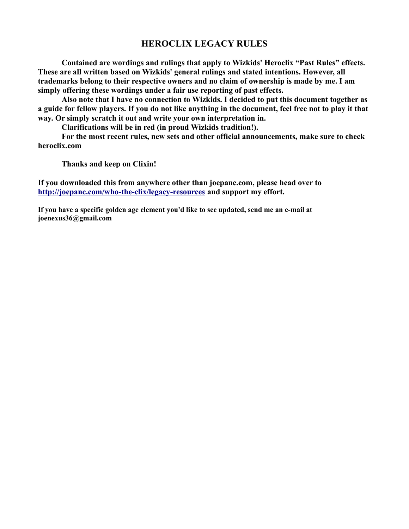## **HEROCLIX LEGACY RULES**

**Contained are wordings and rulings that apply to Wizkids' Heroclix "Past Rules" effects. These are all written based on Wizkids' general rulings and stated intentions. However, all trademarks belong to their respective owners and no claim of ownership is made by me. I am simply offering these wordings under a fair use reporting of past effects.**

**Also note that I have no connection to Wizkids. I decided to put this document together as a guide for fellow players. If you do not like anything in the document, feel free not to play it that way. Or simply scratch it out and write your own interpretation in.**

**Clarifications will be in red (in proud Wizkids tradition!).**

**For the most recent rules, new sets and other official announcements, make sure to check heroclix.com**

**Thanks and keep on Clixin!**

**If you downloaded this from anywhere other than joepanc.com, please head over to <http://joepanc.com/who-the-clix/legacy-resources>and support my effort.**

**If you have a specific golden age element you'd like to see updated, send me an e-mail at joenexus36@gmail.com**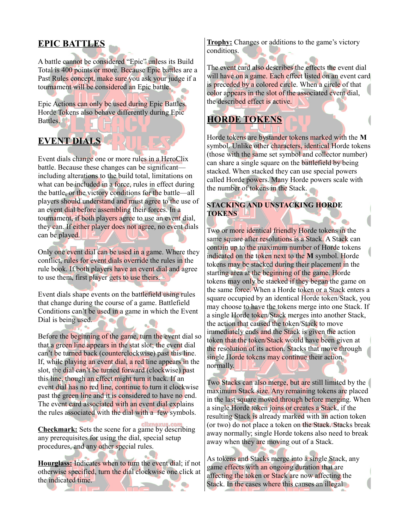## **EPIC BATTLES**

A battle cannot be considered "Epic" unless its Build Total is 400 points or more. Because Epic battles are a Past Rules concept, make sure you ask your judge if a tournament will be considered an Epic battle.

Epic Actions can only be used during Epic Battles. Horde Tokens also behave differently during Epic Battles.

## **EVENT DIALS**

Event dials change one or more rules in a HeroClix battle. Because these changes can be significant including alterations to the build total, limitations on what can be included in a force, rules in effect during the battle, or the victory conditions for the battle—all players should understand and must agree to the use of an event dial before assembling their forces. In a tournament, if both players agree to use an event dial, they can. If either player does not agree, no event dials can be played.

Only one event dial can be used in a game. Where they conflict, rules for event dials override the rules in the rule book. If both players have an event dial and agree to use them, first player gets to use theirs.

Event dials shape events on the battlefield using rules that change during the course of a game. Battlefield Conditions can't be used in a game in which the Event Dial is being used.

Before the beginning of the game, turn the event dial so that a green line appears in the stat slot; the event dial can't be turned back (counterclockwise) past this line. If, while playing an event dial, a red line appears in the slot, the dial can't be turned forward (clockwise) past this line, though an effect might turn it back. If an event dial has no red line, continue to turn it clockwise past the green line and it is considered to have no end. The event card associated with an event dial explains the rules associated with the dial with a few symbols.

**Checkmark:** Sets the scene for a game by describing any prerequisites for using the dial, special setup procedures, and any other special rules.

**Hourglass:** Indicates when to turn the event dial; if not otherwise specified, turn the dial clockwise one click at the indicated time.

**Trophy:** Changes or additions to the game's victory conditions.

The event card also describes the effects the event dial will have on a game. Each effect listed on an event card is preceded by a colored circle. When a circle of that color appears in the slot of the associated event dial, the described effect is active.

# **HORDE TOKENS**

Horde tokens are bystander tokens marked with the **M** symbol. Unlike other characters, identical Horde tokens (those with the same set symbol and collector number) can share a single square on the battlefield by being stacked. When stacked they can use special powers called Horde powers. Many Horde powers scale with the number of tokens in the Stack.

#### **STACKING AND UNSTACKING HORDE TOKENS**

Two or more identical friendly Horde tokens in the same square after resolutions is a Stack. A Stack can contain up to the maximum number of Horde tokens indicated on the token next to the **M** symbol. Horde tokens may be stacked during their placement in the starting area at the beginning of the game. Horde tokens may only be stacked if they began the game on the same force. When a Horde token or a Stack enters a square occupied by an identical Horde token/Stack, you may choose to have the tokens merge into one Stack. If a single Horde token/Stack merges into another Stack, the action that caused the token/Stack to move immediately ends and the Stack is given the action token that the token/Stack would have been given at the resolution of its action. Stacks that move through single Horde tokens may continue their action normally.

Two Stacks can also merge, but are still limited by the maximum Stack size. Any remaining tokens are placed in the last square moved through before merging. When a single Horde token joins or creates a Stack, if the resulting Stack is already marked with an action token (or two) do not place a token on the Stack. Stacks break away normally; single Horde tokens also need to break away when they are moving out of a Stack.

As tokens and Stacks merge into a single Stack, any game effects with an ongoing duration that are affecting the token or Stack are now affecting the Stack. In the cases where this causes an illegal